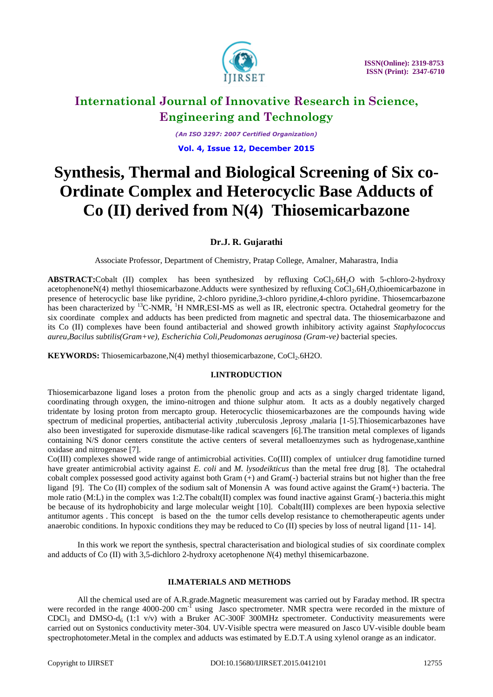

*(An ISO 3297: 2007 Certified Organization)* **Vol. 4, Issue 12, December 2015**

# **Synthesis, Thermal and Biological Screening of Six co-Ordinate Complex and Heterocyclic Base Adducts of Co (II) derived from N(4) Thiosemicarbazone**

### **Dr.J. R. Gujarathi**

Associate Professor, Department of Chemistry, Pratap College, Amalner, Maharastra, India

**ABSTRACT:**Cobalt (II) complex has been synthesized by refluxing CoCl<sub>2</sub>.6H<sub>2</sub>O with 5-chloro-2-hydroxy acetophenoneN(4) methyl thiosemicarbazone.Adducts were synthesized by refluxing CoCl<sub>2</sub>.6H<sub>2</sub>O,thioemicarbazone in presence of heterocyclic base like pyridine, 2-chloro pyridine,3-chloro pyridine,4-chloro pyridine. Thiosemcarbazone has been characterized by <sup>13</sup>C-NMR, <sup>1</sup>H NMR, ESI-MS as well as IR, electronic spectra. Octahedral geometry for the six coordinate complex and adducts has been predicted from magnetic and spectral data. The thiosemicarbazone and its Co (II) complexes have been found antibacterial and showed growth inhibitory activity against *Staphylococcus aureu,Bacilus subtilis(Gram+ve), Escherichia Coli,Peudomonas aeruginosa (Gram-ve)* bacterial species.

**KEYWORDS:** Thiosemicarbazone, N(4) methyl thiosemicarbazone, CoCl<sub>2</sub>.6H2O.

### **I.INTRODUCTION**

Thiosemicarbazone ligand loses a proton from the phenolic group and acts as a singly charged tridentate ligand, coordinating through oxygen, the imino-nitrogen and thione sulphur atom. It acts as a doubly negatively charged tridentate by losing proton from mercapto group. Heterocyclic thiosemicarbazones are the compounds having wide spectrum of medicinal properties, antibacterial activity ,tuberculosis ,leprosy ,malaria [1-5].Thiosemicarbazones have also been investigated for superoxide dismutase-like radical scavengers [6].The transition metal complexes of ligands containing N/S donor centers constitute the active centers of several metalloenzymes such as hydrogenase,xanthine oxidase and nitrogenase [7].

Co(III) complexes showed wide range of antimicrobial activities. Co(III) complex of untiulcer drug famotidine turned have greater antimicrobial activity against *E. coli* and *M. lysodeikticus* than the metal free drug [8]. The octahedral cobalt complex possessed good activity against both Gram (+) and Gram(-) bacterial strains but not higher than the free ligand [9]. The Co (II) complex of the sodium salt of Monensin A was found active against the Gram(+) bacteria. The mole ratio (M:L) in the complex was 1:2. The cobalt(II) complex was found inactive against Gram(-) bacteria.this might be because of its hydrophobicity and large molecular weight [10]. Cobalt(III) complexes are been hypoxia selective antitumor agents . This concept is based on the the tumor cells develop resistance to chemotherapeutic agents under anaerobic conditions. In hypoxic conditions they may be reduced to Co (II) species by loss of neutral ligand [11- 14].

In this work we report the synthesis, spectral characterisation and biological studies of six coordinate complex and adducts of Co (II) with 3,5-dichloro 2-hydroxy acetophenone *N*(4) methyl thisemicarbazone.

#### **II.MATERIALS AND METHODS**

All the chemical used are of A.R.grade.Magnetic measurement was carried out by Faraday method. IR spectra were recorded in the range 4000-200 cm<sup>-I</sup> using Jasco spectrometer. NMR spectra were recorded in the mixture of  $CDCl<sub>3</sub>$  and DMSO-d<sub>6</sub> (1:1 v/v) with a Bruker AC-300F 300MHz spectrometer. Conductivity measurements were carried out on Systonics conductivity meter-304. UV-Visible spectra were measured on Jasco UV-visible double beam spectrophotometer.Metal in the complex and adducts was estimated by E.D.T.A using xylenol orange as an indicator.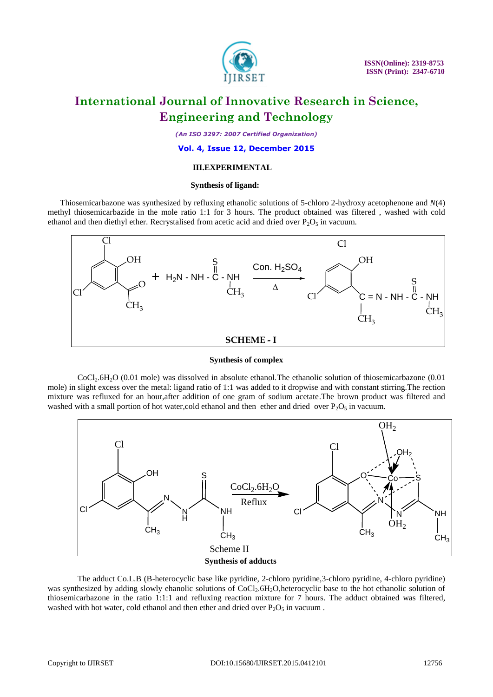

*(An ISO 3297: 2007 Certified Organization)*

#### **Vol. 4, Issue 12, December 2015**

#### **III.EXPERIMENTAL**

#### **Synthesis of ligand:**

 Thiosemicarbazone was synthesized by refluxing ethanolic solutions of 5-chloro 2-hydroxy acetophenone and *N*(4) methyl thiosemicarbazide in the mole ratio 1:1 for 3 hours. The product obtained was filtered , washed with cold ethanol and then diethyl ether. Recrystalised from acetic acid and dried over  $P_2O_5$  in vacuum.



**Synthesis of complex**

CoCl2.6H2O (0.01 mole) was dissolved in absolute ethanol.The ethanolic solution of thiosemicarbazone (0.01 mole) in slight excess over the metal: ligand ratio of 1:1 was added to it dropwise and with constant stirring.The rection mixture was refluxed for an hour,after addition of one gram of sodium acetate.The brown product was filtered and washed with a small portion of hot water,cold ethanol and then ether and dried over  $P_2O_5$  in vacuum.



**Synthesis of adducts**

The adduct Co.L.B (B-heterocyclic base like pyridine, 2-chloro pyridine, 3-chloro pyridine, 4-chloro pyridine) was synthesized by adding slowly ehanolic solutions of CoCl<sub>2</sub>.6H<sub>2</sub>O,heterocyclic base to the hot ethanolic solution of thiosemicarbazone in the ratio 1:1:1 and refluxing reaction mixture for 7 hours. The adduct obtained was filtered, washed with hot water, cold ethanol and then ether and dried over  $P_2O_5$  in vacuum.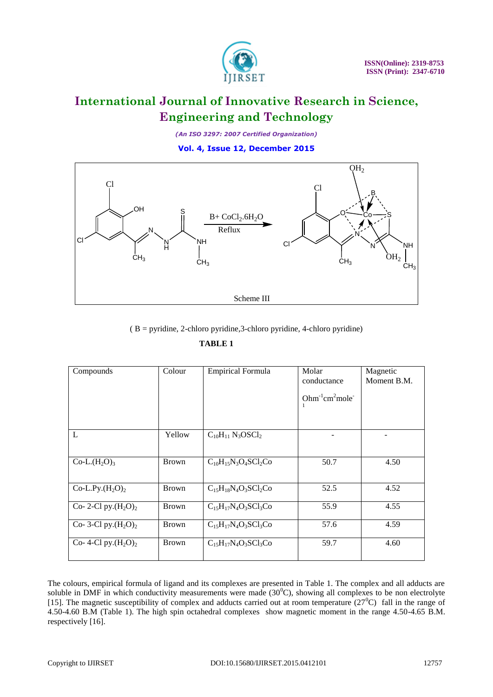

*(An ISO 3297: 2007 Certified Organization)*

**Vol. 4, Issue 12, December 2015**



( B = pyridine, 2-chloro pyridine,3-chloro pyridine, 4-chloro pyridine)

 **TABLE 1** 

|                         |              | $B = pyridine$ , 2-chloro pyridine, 3-chloro pyridine, 4-chloro pyridine) |                      |                         |
|-------------------------|--------------|---------------------------------------------------------------------------|----------------------|-------------------------|
|                         |              | <b>TABLE 1</b>                                                            |                      |                         |
| Compounds               | Colour       | <b>Empirical Formula</b>                                                  | Molar<br>conductance | Magnetic<br>Moment B.M. |
|                         |              |                                                                           | $Ohm-1 cm2 mole-1$   |                         |
| L                       | Yellow       | $C_{10}H_{11}$ N <sub>3</sub> OSCl <sub>2</sub>                           |                      |                         |
| $Co-L.(H2O)3$           | <b>Brown</b> | $C_{10}H_{15}N_3O_4SCl_2Co$                                               | 50.7                 | 4.50                    |
| Co-L.Py. $(H_2O)_2$     | <b>Brown</b> | $C_{15}H_{18}N_4O_3SCl_2Co$                                               | 52.5                 | 4.52                    |
| Co-2-Cl py. $(H_2O)_2$  | <b>Brown</b> | $C_{15}H_{17}N_4O_3SCl_3Co$                                               | 55.9                 | 4.55                    |
| Co- 3-Cl py. $(H_2O)_2$ | <b>Brown</b> | $C_{15}H_{17}N_4O_3SCl_3Co$                                               | 57.6                 | 4.59                    |
| Co- 4-Cl py. $(H_2O)_2$ | <b>Brown</b> | $C_{15}H_{17}N_4O_3SCl_3Co$                                               | 59.7                 | 4.60                    |
|                         |              |                                                                           |                      |                         |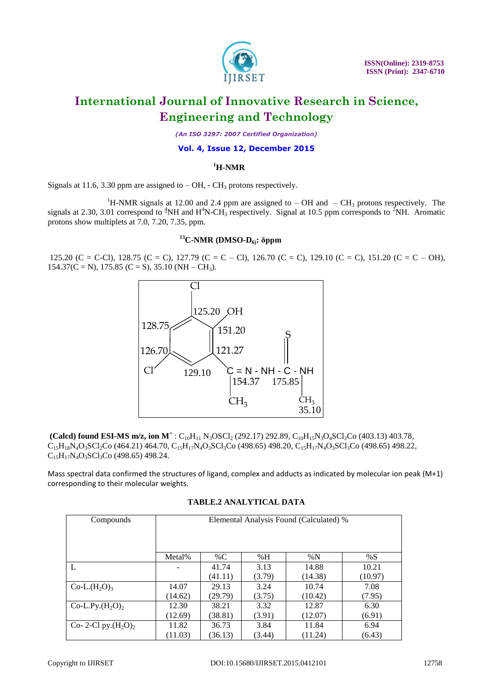

*(An ISO 3297: 2007 Certified Organization)*

#### **Vol. 4, Issue 12, December 2015**

### **<sup>1</sup>H-NMR**

Signals at 11.6, 3.30 ppm are assigned to  $-$  OH,  $-$  CH<sub>3</sub> protons respectively.

<sup>1</sup>H-NMR signals at 12.00 and 2.4 ppm are assigned to – OH and – CH<sub>3</sub> protons respectively. The signals at 2.30, 3.01 correspond to  ${}^{4}NH$  and  $H^{4}N$ -CH<sub>3</sub> respectively. Signal at 10.5 ppm corresponds to  ${}^{2}NH$ . Aromatic protons show multiplets at 7.0, 7.20, 7.35, ppm.

#### **<sup>13</sup>C-NMR (DMSO-D6): δppm**

125.20 (C = C-Cl), 128.75 (C = C), 127.79 (C = C – Cl), 126.70 (C = C), 129.10 (C = C), 151.20 (C = C – OH),  $154.37(C = N)$ ,  $175.85(C = S)$ ,  $35.10(NH - CH<sub>3</sub>)$ .



**(Calcd) found ESI-MS m/z, ion**  $M^+$ **:** C<sub>10</sub>H<sub>11</sub> N<sub>3</sub>OSCl<sub>2</sub> (292.17) 292.89, C<sub>10</sub>H<sub>15</sub>N<sub>3</sub>O<sub>4</sub>SCl<sub>2</sub>Co (403.13) 403.78,  $C_{15}H_{18}N_4O_3SCl_2Co$  (464.21) 464.70,  $C_{15}H_{17}N_4O_3SCl_3Co$  (498.65) 498.20,  $C_{15}H_{17}N_4O_3SCl_3Co$  (498.65) 498.22,  $C_{15}H_{17}N_4O_3SCl_3Co$  (498.65) 498.24.

Mass spectral data confirmed the structures of ligand, complex and adducts as indicated by molecular ion peak (M+1) corresponding to their molecular weights.

| Compounds               | Elemental Analysis Found (Calculated) % |         |        |         |         |  |  |  |  |  |
|-------------------------|-----------------------------------------|---------|--------|---------|---------|--|--|--|--|--|
|                         |                                         |         |        |         |         |  |  |  |  |  |
|                         |                                         |         |        |         |         |  |  |  |  |  |
|                         | Metal%                                  | % $C$   | %H     | % $N$   | %S      |  |  |  |  |  |
|                         |                                         | 41.74   | 3.13   | 14.88   | 10.21   |  |  |  |  |  |
|                         |                                         | (41.11) | (3.79) | (14.38) | (10.97) |  |  |  |  |  |
| $Co-L.(H2O)3$           | 14.07                                   | 29.13   | 3.24   | 10.74   | 7.08    |  |  |  |  |  |
|                         | (14.62)                                 | (29.79) | (3.75) | (10.42) | (7.95)  |  |  |  |  |  |
| Co-L.Py. $(H_2O)_2$     | 12.30                                   | 38.21   | 3.32   | 12.87   | 6.30    |  |  |  |  |  |
|                         | (12.69)                                 | (38.81) | (3.91) | (12.07) | (6.91)  |  |  |  |  |  |
| Co- 2-Cl py. $(H_2O)_2$ | 11.82                                   | 36.73   | 3.84   | 11.84   | 6.94    |  |  |  |  |  |
|                         | (11.03)                                 | (36.13) | (3.44) | (11.24) | (6.43)  |  |  |  |  |  |

#### **TABLE.2 ANALYTICAL DATA**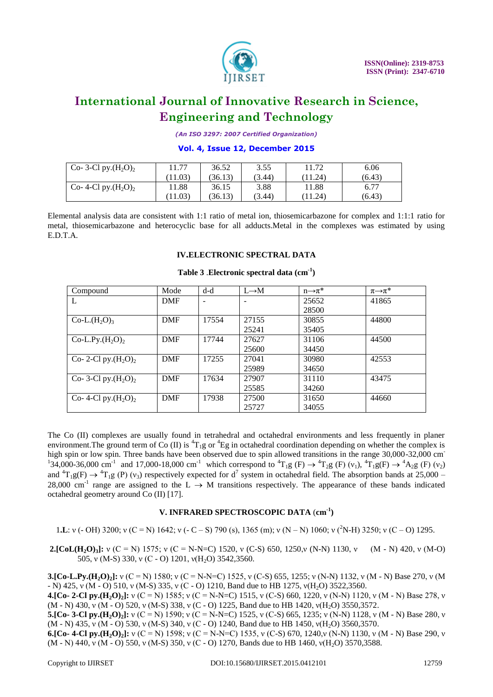

*(An ISO 3297: 2007 Certified Organization)*

#### **Vol. 4, Issue 12, December 2015**

| Co- 3-Cl py. $(H_2O)_2$ | 11.77<br>36.52 |         | 3.55   | 11.72   | 6.06   |
|-------------------------|----------------|---------|--------|---------|--------|
|                         | (11.03)        | (36.13) | (3.44) | (11.24) | (6.43) |
| Co- 4-Cl py. $(H_2O)_2$ | 11.88          | 36.15   | 3.88   | 11.88   | 6.77   |
|                         | (11.03)        | (36.13) | (3.44) | (11.24) | (6.43) |

Elemental analysis data are consistent with 1:1 ratio of metal ion, thiosemicarbazone for complex and 1:1:1 ratio for metal, thiosemicarbazone and heterocyclic base for all adducts.Metal in the complexes was estimated by using E.D.T.A.

#### **IV.ELECTRONIC SPECTRAL DATA**

| Compound                | Mode       | $d-d$                    | $L \rightarrow M$ | $n\rightarrow \pi^*$ | $\pi \rightarrow \pi^*$ |
|-------------------------|------------|--------------------------|-------------------|----------------------|-------------------------|
| L                       | <b>DMF</b> | $\overline{\phantom{a}}$ |                   | 25652                | 41865                   |
|                         |            |                          |                   | 28500                |                         |
| $Co-L.(H2O)3$           | <b>DMF</b> | 17554                    | 27155             | 30855                | 44800                   |
|                         |            |                          | 25241             | 35405                |                         |
| $Co-L.Py.(H2O)2$        | <b>DMF</b> | 17744                    | 27627             | 31106                | 44500                   |
|                         |            |                          | 25600             | 34450                |                         |
| Co-2-Cl py. $(H_2O)_2$  | <b>DMF</b> | 17255                    | 27041             | 30980                | 42553                   |
|                         |            |                          | 25989             | 34650                |                         |
| Co- 3-Cl py. $(H_2O)_2$ | <b>DMF</b> | 17634                    | 27907             | 31110                | 43475                   |
|                         |            |                          | 25585             | 34260                |                         |
| Co- 4-Cl py. $(H_2O)_2$ | <b>DMF</b> | 17938                    | 27500             | 31650                | 44660                   |
|                         |            |                          | 25727             | 34055                |                         |

### **Table 3** .**Electronic spectral data (cm-1 )**

The Co (II) complexes are usually found in tetrahedral and octahedral environments and less frequently in planer environment. The ground term of Co (II) is  ${}^{4}T_{1}g$  or  ${}^{4}Eg$  in octahedral coordination depending on whether the complex is high spin or low spin. Three bands have been observed due to spin allowed transitions in the range 30,000-32,000 cm<sup>-</sup> <sup>1</sup>34,000-36,000 cm<sup>-1</sup> and 17,000-18,000 cm<sup>-1</sup> which correspond to <sup>4</sup>T<sub>1</sub>g (F)  $\rightarrow$  <sup>4</sup>T<sub>2</sub>g (F) (v<sub>1</sub>), <sup>4</sup>T<sub>1</sub>g(F)  $\rightarrow$  <sup>4</sup>A<sub>2</sub>g (F) (v<sub>2</sub>) and  ${}^{4}T_{1}g(F) \rightarrow {}^{4}T_{1}g(P)$  (v<sub>3</sub>) respectively expected for d<sup>7</sup> system in octahedral field. The absorption bands at 25,000 – 28,000 cm<sup>-1</sup> range are assigned to the L  $\rightarrow$  M transitions respectively. The appearance of these bands indicated octahedral geometry around Co (II) [17].

### **V. INFRARED SPECTROSCOPIC DATA** (**cm-1 )**

1**.L**: ν (- OH) 3200; ν (C = N) 1642; ν (- C – S) 790 (s), 1365 (m); ν (N – N) 1060; ν (<sup>2</sup>N-H) 3250; ν (C – O) 1295.

**2.[CoL(H2O)3]:** ν (C = N) 1575; ν (C = N-N=C) 1520, ν (C-S) 650, 1250,ν (N-N) 1130, ν (M - N) 420, ν (M-O) 505, ν (M-S) 330, ν (C - O) 1201, ν (H<sub>2</sub>O) 3542,3560.

**3.[Co-L.Py.(H2O)2]:** ν (C = N) 1580; ν (C = N-N=C) 1525, ν (C-S) 655, 1255; ν (N-N) 1132, ν (M - N) Base 270, ν (M - N) 425, v (M - O) 510, v (M-S) 335, v (C - O) 1210, Band due to HB 1275, v(H<sub>2</sub>O) 3522,3560.

**4.[Co- 2-Cl py.(H2O)2]:** ν (C = N) 1585; ν (C = N-N=C) 1515, ν (C-S) 660, 1220, ν (N-N) 1120, ν (M - N) Base 278, ν (M - N) 430, ν (M - O) 520, ν (M-S) 338, ν (C - O) 1225, Band due to HB 1420, ν (H<sub>2</sub>O) 3550,3572.

**5.[Co- 3-Cl py.(H2O)2]:** ν (C = N) 1590; ν (C = N-N=C) 1525, ν (C-S) 665, 1235; ν (N-N) 1128, ν (M - N) Base 280, ν (M - N) 435, ν (M - O) 530, ν (M-S) 340, ν (C - O) 1240, Band due to HB 1450, ν (H<sub>2</sub>O) 3560,3570.

**6.[Co- 4-Cl py.(H2O)2]:** ν (C = N) 1598; ν (C = N-N=C) 1535, ν (C-S) 670, 1240,ν (N-N) 1130, ν (M - N) Base 290, ν  $(M - N)$  440, v  $(M - O)$  550, v  $(M - S)$  350, v  $(C - O)$  1270, Bands due to HB 1460, v $(H<sub>2</sub>O)$  3570,3588.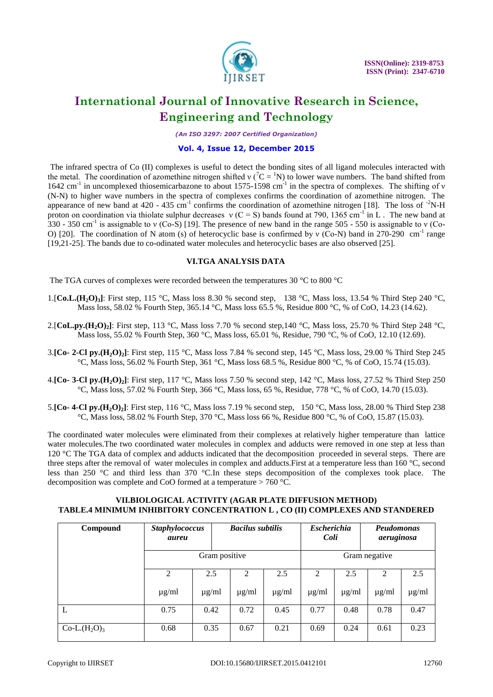

*(An ISO 3297: 2007 Certified Organization)*

#### **Vol. 4, Issue 12, December 2015**

The infrared spectra of Co (II) complexes is useful to detect the bonding sites of all ligand molecules interacted with the metal. The coordination of azomethine nitrogen shifted ν ( ${}^{7}C = {}^{1}N$ ) to lower wave numbers. The band shifted from 1642 cm<sup>-1</sup> in uncomplexed thiosemicarbazone to about 1575-1598 cm<sup>-1</sup> in the spectra of complexes. The shifting of ν (N-N) to higher wave numbers in the spectra of complexes confirms the coordination of azomethine nitrogen. The appearance of new band at 420 - 435 cm<sup>-1</sup> confirms the coordination of azomethine nitrogen [18]. The loss of  $2$ N-H proton on coordination via thiolate sulphur decreases  $v(C = S)$  bands found at 790, 1365 cm<sup>-1</sup> in L. The new band at 330 - 350 cm<sup>-1</sup> is assignable to v (Co-S) [19]. The presence of new band in the range 505 - 550 is assignable to v (Co-O) [20]. The coordination of N atom (s) of heterocyclic base is confirmed by v (Co-N) band in 270-290 cm<sup>-1</sup> range [19,21-25]. The bands due to co-odinated water molecules and heterocyclic bases are also observed [25].

#### **VI.TGA ANALYSIS DATA**

The TGA curves of complexes were recorded between the temperatures 30 °C to 800 °C

- 1.[**Co.L.(H2O)3]**: First step, 115 °C, Mass loss 8.30 % second step, 138 °C, Mass loss, 13.54 % Third Step 240 °C, Mass loss, 58.02 % Fourth Step, 365.14 °C, Mass loss 65.5 %, Residue 800 °C, % of CoO, 14.23 (14.62).
- 2.[**CoL.py.(H<sub>2</sub>O**)<sub>2</sub>]: First step, 113 °C, Mass loss 7.70 % second step,140 °C, Mass loss, 25.70 % Third Step 248 °C, Mass loss, 55.02 % Fourth Step, 360 °C, Mass loss, 65.01 %, Residue, 790 °C, % of CoO, 12.10 (12.69).
- 3.**[Co- 2-Cl py.(H2O)2]**: First step, 115 °C, Mass loss 7.84 % second step, 145 °C, Mass loss, 29.00 % Third Step 245  $°C$ , Mass loss, 56.02 % Fourth Step, 361 °C, Mass loss 68.5 %, Residue 800 °C, % of CoO, 15.74 (15.03).
- 4.**[Co- 3-Cl py.(H2O)2]**: First step, 117 °C, Mass loss 7.50 % second step, 142 °C, Mass loss, 27.52 % Third Step 250 °C, Mass loss, 57.02 % Fourth Step, 366 °C, Mass loss, 65 %, Residue, 778 °C, % of CoO, 14.70 (15.03).
- 5.**[Co- 4-Cl py.(H2O)2]**: First step, 116 °C, Mass loss 7.19 % second step, 150 °C, Mass loss, 28.00 % Third Step 238 °C, Mass loss, 58.02 % Fourth Step, 370 °C, Mass loss 66 %, Residue 800 °C, % of CoO, 15.87 (15.03).

The coordinated water molecules were eliminated from their complexes at relatively higher temperature than lattice water molecules.The two coordinated water molecules in complex and adducts were removed in one step at less than 120 °C The TGA data of complex and adducts indicated that the decomposition proceeded in several steps. There are three steps after the removal of water molecules in complex and adducts.First at a temperature less than 160 °C, second less than 250 °C and third less than 370 °C.In these steps decomposition of the complexes took place. The decomposition was complete and CoO formed at a temperature > 760 °C.

#### **VII.BIOLOGICAL ACTIVITY (AGAR PLATE DIFFUSION METHOD) TABLE.4 MINIMUM INHIBITORY CONCENTRATION L , CO (II) COMPLEXES AND STANDERED**

| Compound      | <b>Staphylococcus</b><br>aureu |            | <b>Bacilus subtilis</b> |            | <b>Escherichia</b><br>Coli |            | Peudomonas<br>aeruginosa |            |
|---------------|--------------------------------|------------|-------------------------|------------|----------------------------|------------|--------------------------|------------|
|               | Gram positive                  |            |                         |            | Gram negative              |            |                          |            |
|               | 2                              | 2.5        | 2                       | 2.5        | 2                          | 2.5        | <sup>2</sup>             | 2.5        |
|               | $\mu$ g/ml                     | $\mu$ g/ml | $\mu$ g/ml              | $\mu$ g/ml | $\mu$ g/ml                 | $\mu$ g/ml | $\mu$ g/ml               | $\mu$ g/ml |
| L             | 0.75                           | 0.42       | 0.72                    | 0.45       | 0.77                       | 0.48       | 0.78                     | 0.47       |
| $Co-L.(H2O)3$ | 0.68                           | 0.35       | 0.67                    | 0.21       | 0.69                       | 0.24       | 0.61                     | 0.23       |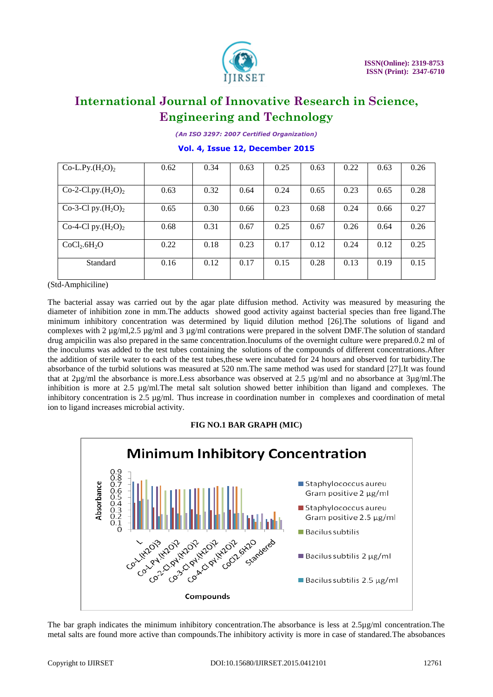

*(An ISO 3297: 2007 Certified Organization)*

**Vol. 4, Issue 12, December 2015**

| Co-L.Py. $(H_2O)_2$                  | 0.62 | 0.34 | 0.63 | 0.25 | 0.63 | 0.22 | 0.63 | 0.26 |
|--------------------------------------|------|------|------|------|------|------|------|------|
|                                      |      |      |      |      |      |      |      |      |
| Co-2-Cl.py. $(H_2O)_2$               | 0.63 | 0.32 | 0.64 | 0.24 | 0.65 | 0.23 | 0.65 | 0.28 |
| Co-3-Cl py. $(H_2O)_2$               | 0.65 | 0.30 | 0.66 | 0.23 | 0.68 | 0.24 | 0.66 | 0.27 |
| Co-4-Cl py. $(H_2O)_2$               | 0.68 | 0.31 | 0.67 | 0.25 | 0.67 | 0.26 | 0.64 | 0.26 |
| CoCl <sub>2</sub> .6H <sub>2</sub> O | 0.22 | 0.18 | 0.23 | 0.17 | 0.12 | 0.24 | 0.12 | 0.25 |
| Standard                             | 0.16 | 0.12 | 0.17 | 0.15 | 0.28 | 0.13 | 0.19 | 0.15 |

(Std-Amphiciline)

The bacterial assay was carried out by the agar plate diffusion method. Activity was measured by measuring the diameter of inhibition zone in mm.The adducts showed good activity against bacterial species than free ligand.The minimum inhibitory concentration was determined by liquid dilution method [26].The solutions of ligand and complexes with 2 µg/ml,2.5 µg/ml and 3 µg/ml contrations were prepared in the solvent DMF.The solution of standard drug ampicilin was also prepared in the same concentration.Inoculums of the overnight culture were prepared.0.2 ml of the inoculums was added to the test tubes containing the solutions of the compounds of different concentrations.After the addition of sterile water to each of the test tubes,these were incubated for 24 hours and observed for turbidity.The absorbance of the turbid solutions was measured at 520 nm.The same method was used for standard [27].It was found that at 2µg/ml the absorbance is more.Less absorbance was observed at 2.5 µg/ml and no absorbance at 3µg/ml.The inhibition is more at 2.5 µg/ml.The metal salt solution showed better inhibition than ligand and complexes. The inhibitory concentration is 2.5 µg/ml. Thus increase in coordination number in complexes and coordination of metal ion to ligand increases microbial activity.

#### **FIG NO.1 BAR GRAPH (MIC)**



The bar graph indicates the minimum inhibitory concentration.The absorbance is less at 2.5µg/ml concentration.The metal salts are found more active than compounds.The inhibitory activity is more in case of standared.The absobances